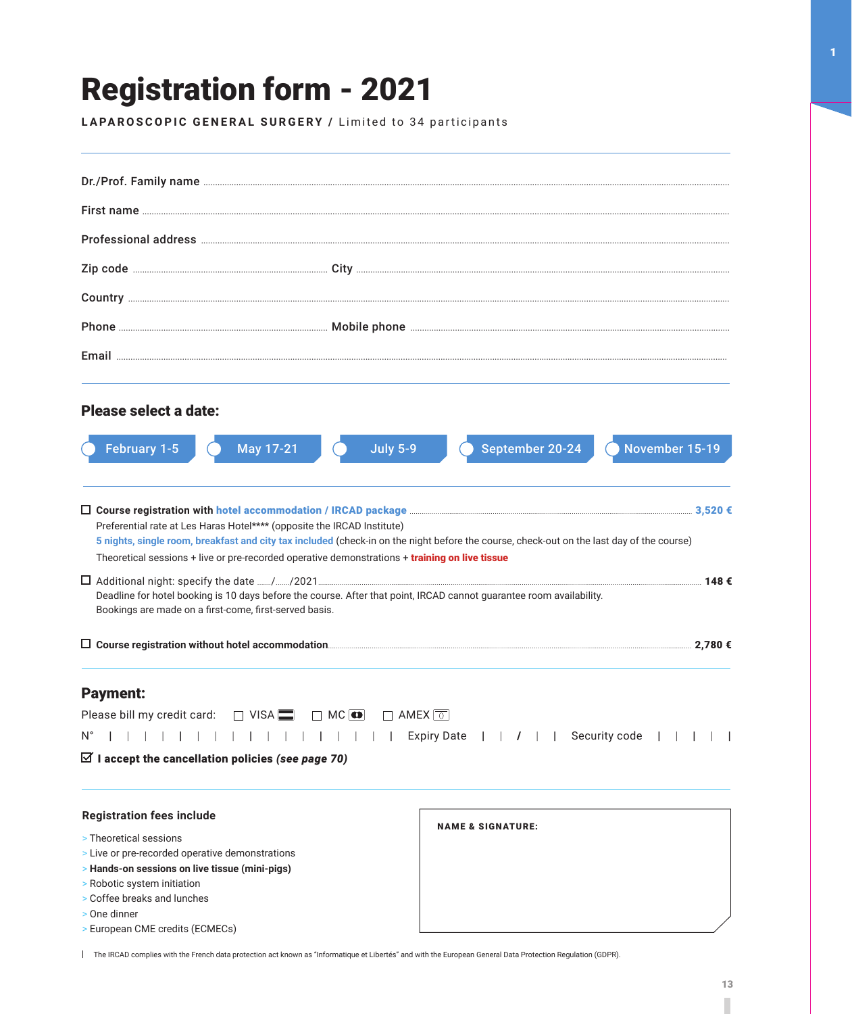## Registration form - 2021

LAPAROSCOPIC GENERAL SURGERY / Limited to 34 participants

| Please select a date:                                                                          |                                                                                                                                           |
|------------------------------------------------------------------------------------------------|-------------------------------------------------------------------------------------------------------------------------------------------|
|                                                                                                |                                                                                                                                           |
| February 1-5<br>May 17-21                                                                      | September 20-24<br>November 15-19<br><b>July 5-9</b>                                                                                      |
|                                                                                                |                                                                                                                                           |
|                                                                                                |                                                                                                                                           |
| Preferential rate at Les Haras Hotel**** (opposite the IRCAD Institute)                        |                                                                                                                                           |
|                                                                                                | 5 nights, single room, breakfast and city tax included (check-in on the night before the course, check-out on the last day of the course) |
| Theoretical sessions + live or pre-recorded operative demonstrations + training on live tissue |                                                                                                                                           |
| Bookings are made on a first-come, first-served basis.                                         | Deadline for hotel booking is 10 days before the course. After that point, IRCAD cannot guarantee room availability.                      |
|                                                                                                |                                                                                                                                           |
|                                                                                                |                                                                                                                                           |
| <b>Payment:</b>                                                                                |                                                                                                                                           |
| Please bill my credit card:<br>$\Box$ VISA :                                                   | $\Box$ MC $\Box$<br>$\Box$ AMEX $\boxed{\circ}$                                                                                           |
| N°                                                                                             | <b>Expiry Date</b><br>    Security code<br>$\perp$<br>$\perp$                                                                             |
| $\boxtimes$ I accept the cancellation policies (see page 70)                                   |                                                                                                                                           |
|                                                                                                |                                                                                                                                           |
| <b>Registration fees include</b>                                                               |                                                                                                                                           |
| > Theoretical sessions                                                                         | <b>NAME &amp; SIGNATURE:</b>                                                                                                              |
| > Live or pre-recorded operative demonstrations                                                |                                                                                                                                           |
| > Hands-on sessions on live tissue (mini-pigs)                                                 |                                                                                                                                           |
| > Robotic system initiation                                                                    |                                                                                                                                           |
| > Coffee breaks and lunches<br>> One dinner                                                    |                                                                                                                                           |
| > European CME credits (ECMECs)                                                                |                                                                                                                                           |

The IRCAD complies with the French data protection act known as ''Informatique et Libertés'' and with the European General Data Protection Regulation (GDPR).